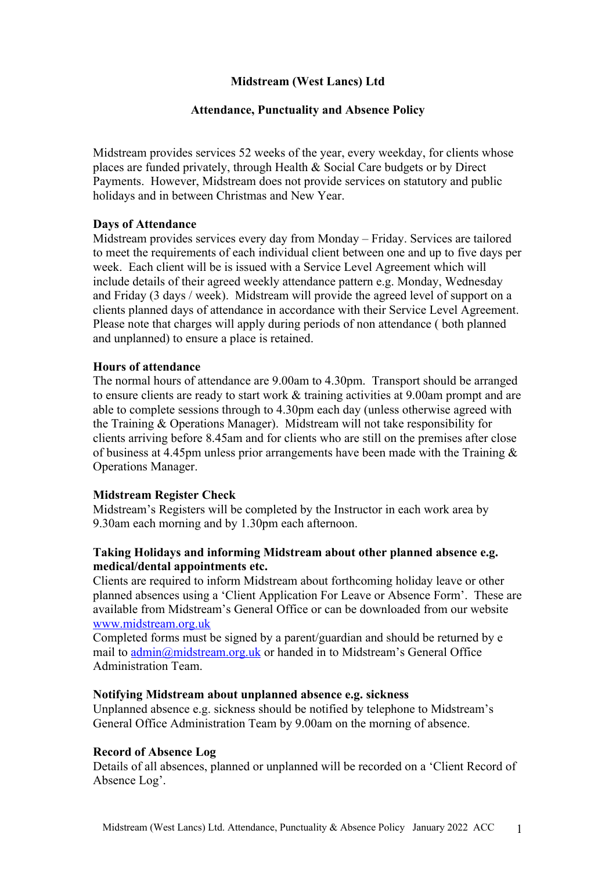# **Midstream (West Lancs) Ltd**

## **Attendance, Punctuality and Absence Policy**

Midstream provides services 52 weeks of the year, every weekday, for clients whose places are funded privately, through Health & Social Care budgets or by Direct Payments. However, Midstream does not provide services on statutory and public holidays and in between Christmas and New Year.

### **Days of Attendance**

Midstream provides services every day from Monday – Friday. Services are tailored to meet the requirements of each individual client between one and up to five days per week. Each client will be is issued with a Service Level Agreement which will include details of their agreed weekly attendance pattern e.g. Monday, Wednesday and Friday (3 days / week). Midstream will provide the agreed level of support on a clients planned days of attendance in accordance with their Service Level Agreement. Please note that charges will apply during periods of non attendance ( both planned and unplanned) to ensure a place is retained.

## **Hours of attendance**

The normal hours of attendance are 9.00am to 4.30pm. Transport should be arranged to ensure clients are ready to start work & training activities at 9.00am prompt and are able to complete sessions through to 4.30pm each day (unless otherwise agreed with the Training & Operations Manager). Midstream will not take responsibility for clients arriving before 8.45am and for clients who are still on the premises after close of business at 4.45pm unless prior arrangements have been made with the Training  $\&$ Operations Manager.

### **Midstream Register Check**

Midstream's Registers will be completed by the Instructor in each work area by 9.30am each morning and by 1.30pm each afternoon.

## **Taking Holidays and informing Midstream about other planned absence e.g. medical/dental appointments etc.**

Clients are required to inform Midstream about forthcoming holiday leave or other planned absences using a 'Client Application For Leave or Absence Form'. These are available from Midstream's General Office or can be downloaded from our website www.midstream.org.uk

Completed forms must be signed by a parent/guardian and should be returned by e mail to admin@midstream.org.uk or handed in to Midstream's General Office Administration Team.

### **Notifying Midstream about unplanned absence e.g. sickness**

Unplanned absence e.g. sickness should be notified by telephone to Midstream's General Office Administration Team by 9.00am on the morning of absence.

## **Record of Absence Log**

Details of all absences, planned or unplanned will be recorded on a 'Client Record of Absence Log'.